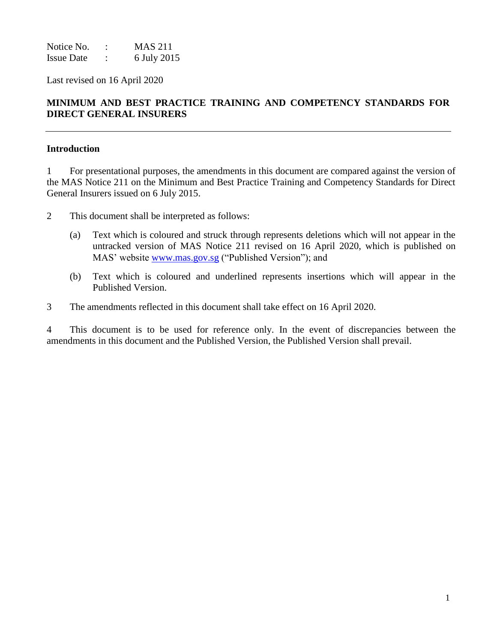Notice No. : MAS 211 Issue Date : 6 July 2015

Last revised on 16 April 2020

# **MINIMUM AND BEST PRACTICE TRAINING AND COMPETENCY STANDARDS FOR DIRECT GENERAL INSURERS**

### **Introduction**

1 For presentational purposes, the amendments in this document are compared against the version of the MAS Notice 211 on the Minimum and Best Practice Training and Competency Standards for Direct General Insurers issued on 6 July 2015.

- 2 This document shall be interpreted as follows:
	- (a) Text which is coloured and struck through represents deletions which will not appear in the untracked version of MAS Notice 211 revised on 16 April 2020, which is published on MAS' website [www.mas.gov.sg](http://www.mas.gov.sg/) ("Published Version"); and
	- (b) Text which is coloured and underlined represents insertions which will appear in the Published Version.
- 3 The amendments reflected in this document shall take effect on 16 April 2020.

4 This document is to be used for reference only. In the event of discrepancies between the amendments in this document and the Published Version, the Published Version shall prevail.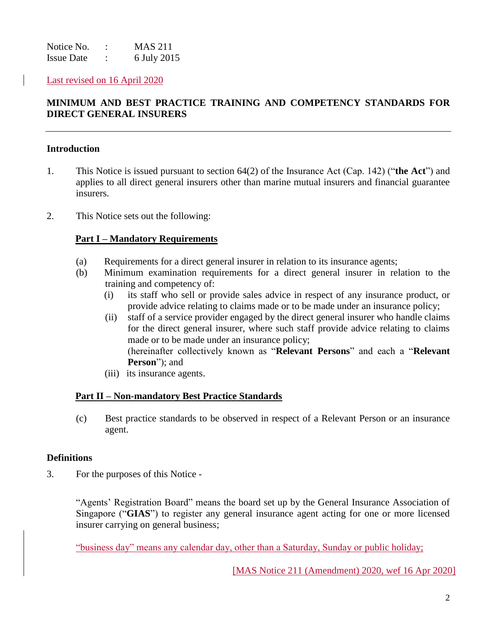Notice No. : MAS 211 Issue Date : 6 July 2015

Last revised on 16 April 2020

# **MINIMUM AND BEST PRACTICE TRAINING AND COMPETENCY STANDARDS FOR DIRECT GENERAL INSURERS**

### **Introduction**

- 1. This Notice is issued pursuant to section 64(2) of the Insurance Act (Cap. 142) ("**the Act**") and applies to all direct general insurers other than marine mutual insurers and financial guarantee insurers.
- 2. This Notice sets out the following:

### **Part I – Mandatory Requirements**

- (a) Requirements for a direct general insurer in relation to its insurance agents;
- (b) Minimum examination requirements for a direct general insurer in relation to the training and competency of:
	- (i) its staff who sell or provide sales advice in respect of any insurance product, or provide advice relating to claims made or to be made under an insurance policy;
	- (ii) staff of a service provider engaged by the direct general insurer who handle claims for the direct general insurer, where such staff provide advice relating to claims made or to be made under an insurance policy; (hereinafter collectively known as "**Relevant Persons**" and each a "**Relevant Person**"); and
	- (iii) its insurance agents.

### **Part II – Non-mandatory Best Practice Standards**

(c) Best practice standards to be observed in respect of a Relevant Person or an insurance agent.

#### **Definitions**

3. For the purposes of this Notice -

"Agents' Registration Board" means the board set up by the General Insurance Association of Singapore ("**GIAS**") to register any general insurance agent acting for one or more licensed insurer carrying on general business;

"business day" means any calendar day, other than a Saturday, Sunday or public holiday;

[MAS Notice 211 (Amendment) 2020, wef 16 Apr 2020]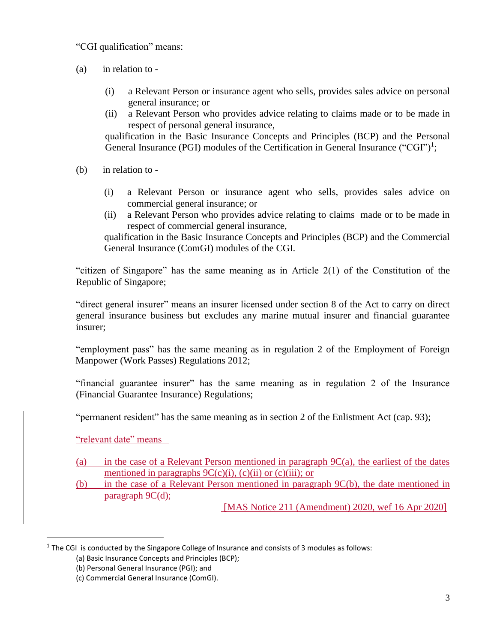"CGI qualification" means:

- (a) in relation to
	- (i) a Relevant Person or insurance agent who sells, provides sales advice on personal general insurance; or
	- (ii) a Relevant Person who provides advice relating to claims made or to be made in respect of personal general insurance,

qualification in the Basic Insurance Concepts and Principles (BCP) and the Personal General Insurance (PGI) modules of the Certification in General Insurance ("CGI")<sup>1</sup>;

- (b) in relation to
	- (i) a Relevant Person or insurance agent who sells, provides sales advice on commercial general insurance; or
	- (ii) a Relevant Person who provides advice relating to claims made or to be made in respect of commercial general insurance,

qualification in the Basic Insurance Concepts and Principles (BCP) and the Commercial General Insurance (ComGI) modules of the CGI.

"citizen of Singapore" has the same meaning as in Article 2(1) of the Constitution of the Republic of Singapore;

"direct general insurer" means an insurer licensed under section 8 of the Act to carry on direct general insurance business but excludes any marine mutual insurer and financial guarantee insurer;

"employment pass" has the same meaning as in regulation 2 of the Employment of Foreign Manpower (Work Passes) Regulations 2012;

"financial guarantee insurer" has the same meaning as in regulation 2 of the Insurance (Financial Guarantee Insurance) Regulations;

"permanent resident" has the same meaning as in section 2 of the Enlistment Act (cap. 93);

"relevant date" means –

 $\overline{a}$ 

- (a) in the case of a Relevant Person mentioned in paragraph 9C(a), the earliest of the dates mentioned in paragraphs  $9C(c)(i)$ ,  $(c)(ii)$  or  $(c)(iii)$ ; or
- (b) in the case of a Relevant Person mentioned in paragraph 9C(b), the date mentioned in paragraph  $9C(d)$ ;

[MAS Notice 211 (Amendment) 2020, wef 16 Apr 2020]

 $<sup>1</sup>$  The CGI is conducted by the Singapore College of Insurance and consists of 3 modules as follows:</sup>

<sup>(</sup>a) Basic Insurance Concepts and Principles (BCP);

<sup>(</sup>b) Personal General Insurance (PGI); and

<sup>(</sup>c) Commercial General Insurance (ComGI).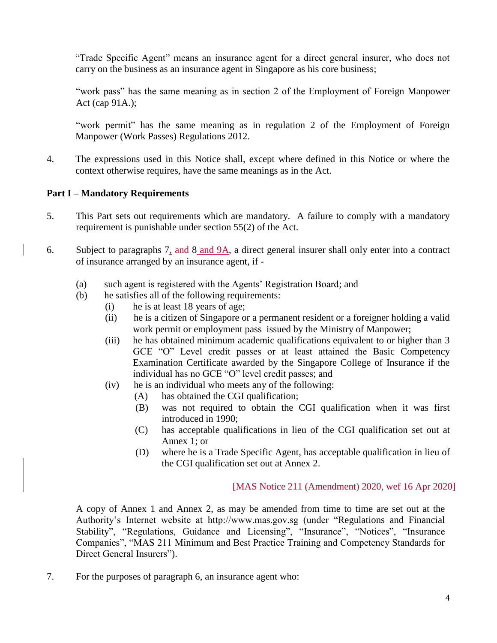"Trade Specific Agent" means an insurance agent for a direct general insurer, who does not carry on the business as an insurance agent in Singapore as his core business;

"work pass" has the same meaning as in section 2 of the Employment of Foreign Manpower Act (cap 91A.);

"work permit" has the same meaning as in regulation 2 of the Employment of Foreign Manpower (Work Passes) Regulations 2012.

4. The expressions used in this Notice shall, except where defined in this Notice or where the context otherwise requires, have the same meanings as in the Act.

### **Part I – Mandatory Requirements**

- 5. This Part sets out requirements which are mandatory. A failure to comply with a mandatory requirement is punishable under section 55(2) of the Act.
- 6. Subject to paragraphs 7, and 8 and 9A, a direct general insurer shall only enter into a contract of insurance arranged by an insurance agent, if -
	- (a) such agent is registered with the Agents' Registration Board; and
	- (b)he satisfies all of the following requirements:
		- (i) he is at least 18 years of age;
		- (ii) he is a citizen of Singapore or a permanent resident or a foreigner holding a valid work permit or employment pass issued by the Ministry of Manpower;
		- (iii) he has obtained minimum academic qualifications equivalent to or higher than 3 GCE "O" Level credit passes or at least attained the Basic Competency Examination Certificate awarded by the Singapore College of Insurance if the individual has no GCE "O" level credit passes; and
		- (iv) he is an individual who meets any of the following:
			- (A) has obtained the CGI qualification;
			- (B) was not required to obtain the CGI qualification when it was first introduced in 1990;
			- (C) has acceptable qualifications in lieu of the CGI qualification set out at Annex 1; or
			- (D) where he is a Trade Specific Agent, has acceptable qualification in lieu of the CGI qualification set out at Annex 2.

## [MAS Notice 211 (Amendment) 2020, wef 16 Apr 2020]

A copy of Annex 1 and Annex 2, as may be amended from time to time are set out at the Authority's Internet website at http://www.mas.gov.sg (under "Regulations and Financial Stability", "Regulations, Guidance and Licensing", "Insurance", "Notices", "Insurance Companies", "MAS 211 Minimum and Best Practice Training and Competency Standards for Direct General Insurers").

7. For the purposes of paragraph 6, an insurance agent who: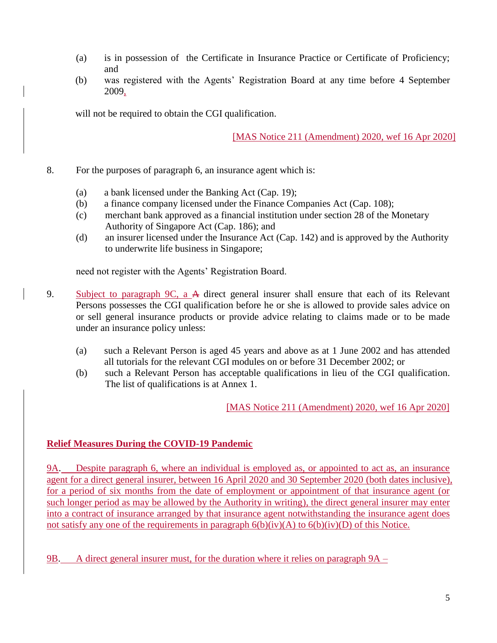- (a) is in possession of the Certificate in Insurance Practice or Certificate of Proficiency; and
- (b) was registered with the Agents' Registration Board at any time before 4 September 2009,

will not be required to obtain the CGI qualification.

[MAS Notice 211 (Amendment) 2020, wef 16 Apr 2020]

- 8. For the purposes of paragraph 6, an insurance agent which is:
	- (a) a bank licensed under the Banking Act (Cap. 19);
	- (b) a finance company licensed under the Finance Companies Act (Cap. 108);
	- (c) merchant bank approved as a financial institution under section 28 of the Monetary Authority of Singapore Act (Cap. 186); and
	- (d) an insurer licensed under the Insurance Act (Cap. 142) and is approved by the Authority to underwrite life business in Singapore;

need not register with the Agents' Registration Board.

- 9. Subject to paragraph 9C, a A direct general insurer shall ensure that each of its Relevant Persons possesses the CGI qualification before he or she is allowed to provide sales advice on or sell general insurance products or provide advice relating to claims made or to be made under an insurance policy unless:
	- (a) such a Relevant Person is aged 45 years and above as at 1 June 2002 and has attended all tutorials for the relevant CGI modules on or before 31 December 2002; or
	- (b) such a Relevant Person has acceptable qualifications in lieu of the CGI qualification. The list of qualifications is at Annex 1.

[MAS Notice 211 (Amendment) 2020, wef 16 Apr 2020]

## **Relief Measures During the COVID-19 Pandemic**

9A. Despite paragraph 6, where an individual is employed as, or appointed to act as, an insurance agent for a direct general insurer, between 16 April 2020 and 30 September 2020 (both dates inclusive), for a period of six months from the date of employment or appointment of that insurance agent (or such longer period as may be allowed by the Authority in writing), the direct general insurer may enter into a contract of insurance arranged by that insurance agent notwithstanding the insurance agent does not satisfy any one of the requirements in paragraph  $6(b)(iv)(A)$  to  $6(b)(iv)(D)$  of this Notice.

9B. A direct general insurer must, for the duration where it relies on paragraph 9A –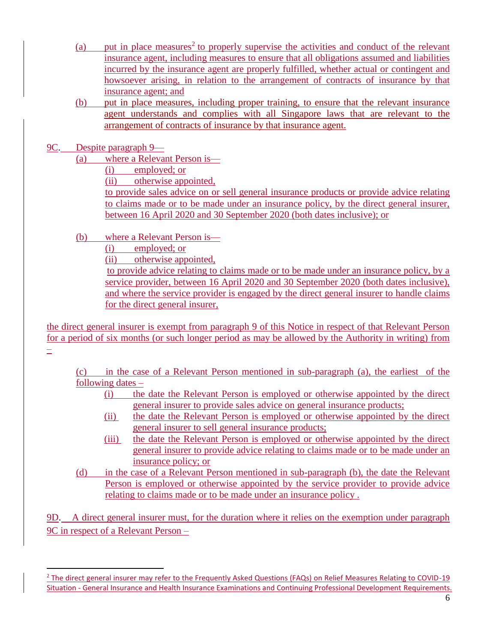- (a) put in place measures<sup>2</sup> to properly supervise the activities and conduct of the relevant insurance agent, including measures to ensure that all obligations assumed and liabilities incurred by the insurance agent are properly fulfilled, whether actual or contingent and howsoever arising, in relation to the arrangement of contracts of insurance by that insurance agent; and
- (b) put in place measures, including proper training, to ensure that the relevant insurance agent understands and complies with all Singapore laws that are relevant to the arrangement of contracts of insurance by that insurance agent.
- 9C. Despite paragraph 9—

 $\overline{a}$ 

- (a) where a Relevant Person is—
	- (i) employed; or
	- (ii) otherwise appointed,

to provide sales advice on or sell general insurance products or provide advice relating to claims made or to be made under an insurance policy, by the direct general insurer, between 16 April 2020 and 30 September 2020 (both dates inclusive); or

- (b) where a Relevant Person is—
	- (i) employed; or<br>(ii) otherwise ann
	- otherwise appointed,

to provide advice relating to claims made or to be made under an insurance policy, by a service provider, between 16 April 2020 and 30 September 2020 (both dates inclusive), and where the service provider is engaged by the direct general insurer to handle claims for the direct general insurer,

the direct general insurer is exempt from paragraph 9 of this Notice in respect of that Relevant Person for a period of six months (or such longer period as may be allowed by the Authority in writing) from  $\pm$ 

(c) in the case of a Relevant Person mentioned in sub-paragraph (a), the earliest of the following dates –

- (i) the date the Relevant Person is employed or otherwise appointed by the direct general insurer to provide sales advice on general insurance products;
- (ii) the date the Relevant Person is employed or otherwise appointed by the direct general insurer to sell general insurance products;
- (iii) the date the Relevant Person is employed or otherwise appointed by the direct general insurer to provide advice relating to claims made or to be made under an insurance policy; or
- (d) in the case of a Relevant Person mentioned in sub-paragraph (b), the date the Relevant Person is employed or otherwise appointed by the service provider to provide advice relating to claims made or to be made under an insurance policy .

9D. A direct general insurer must, for the duration where it relies on the exemption under paragraph 9C in respect of a Relevant Person –

<sup>&</sup>lt;sup>2</sup> The direct general insurer may refer to the Frequently Asked Questions (FAQs) on Relief Measures Relating to COVID-19 Situation - General Insurance and Health Insurance Examinations and Continuing Professional Development Requirements.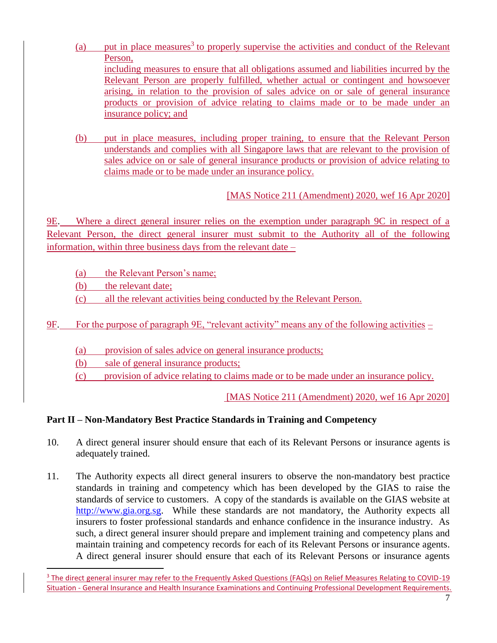- (a) put in place measures<sup>3</sup> to properly supervise the activities and conduct of the Relevant Person, including measures to ensure that all obligations assumed and liabilities incurred by the Relevant Person are properly fulfilled, whether actual or contingent and howsoever arising, in relation to the provision of sales advice on or sale of general insurance products or provision of advice relating to claims made or to be made under an insurance policy; and
- (b) put in place measures, including proper training, to ensure that the Relevant Person understands and complies with all Singapore laws that are relevant to the provision of sales advice on or sale of general insurance products or provision of advice relating to claims made or to be made under an insurance policy.

[MAS Notice 211 (Amendment) 2020, wef 16 Apr 2020]

9E. Where a direct general insurer relies on the exemption under paragraph 9C in respect of a Relevant Person, the direct general insurer must submit to the Authority all of the following information, within three business days from the relevant date –

(a) the Relevant Person's name;

(b) the relevant date;

 $\overline{a}$ 

(c) all the relevant activities being conducted by the Relevant Person.

9F. For the purpose of paragraph 9E, "relevant activity" means any of the following activities –

(a) provision of sales advice on general insurance products;

(b) sale of general insurance products;

(c) provision of advice relating to claims made or to be made under an insurance policy.

[MAS Notice 211 (Amendment) 2020, wef 16 Apr 2020]

## **Part II – Non-Mandatory Best Practice Standards in Training and Competency**

- 10. A direct general insurer should ensure that each of its Relevant Persons or insurance agents is adequately trained.
- 11. The Authority expects all direct general insurers to observe the non-mandatory best practice standards in training and competency which has been developed by the GIAS to raise the standards of service to customers. A copy of the standards is available on the GIAS website at [http://www.gia.org.sg.](http://www.gia.org.sg/) While these standards are not mandatory, the Authority expects all insurers to foster professional standards and enhance confidence in the insurance industry. As such, a direct general insurer should prepare and implement training and competency plans and maintain training and competency records for each of its Relevant Persons or insurance agents. A direct general insurer should ensure that each of its Relevant Persons or insurance agents

<sup>&</sup>lt;sup>3</sup> The direct general insurer may refer to the Frequently Asked Questions (FAQs) on Relief Measures Relating to COVID-19 Situation - General Insurance and Health Insurance Examinations and Continuing Professional Development Requirements.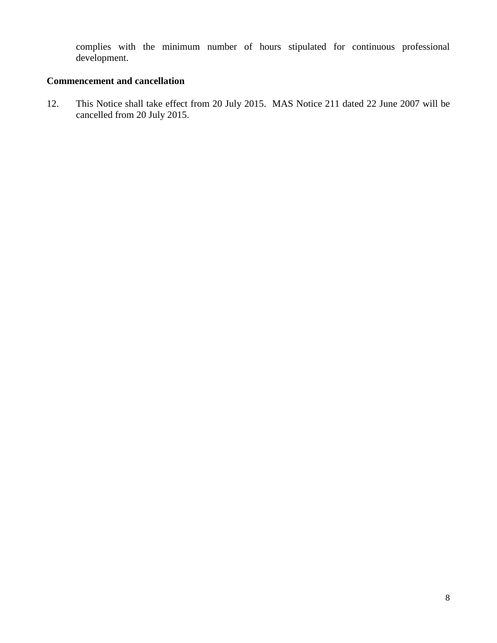complies with the minimum number of hours stipulated for continuous professional development.

## **Commencement and cancellation**

12. This Notice shall take effect from 20 July 2015. MAS Notice 211 dated 22 June 2007 will be cancelled from 20 July 2015.